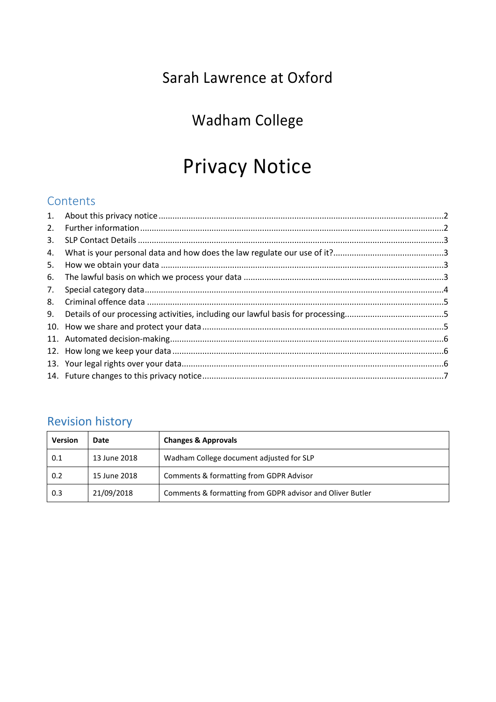# Sarah Lawrence at Oxford

# Wadham College

# Privacy Notice

# **Contents**

| 2. |  |
|----|--|
| 3. |  |
| 4. |  |
| 5. |  |
| 6. |  |
| 7. |  |
| 8. |  |
| 9. |  |
|    |  |
|    |  |
|    |  |
|    |  |
|    |  |
|    |  |

# Revision history

| <b>Version</b> | Date         | <b>Changes &amp; Approvals</b>                            |
|----------------|--------------|-----------------------------------------------------------|
| 0.1            | 13 June 2018 | Wadham College document adjusted for SLP                  |
| 0.2            | 15 June 2018 | Comments & formatting from GDPR Advisor                   |
| 0.3            | 21/09/2018   | Comments & formatting from GDPR advisor and Oliver Butler |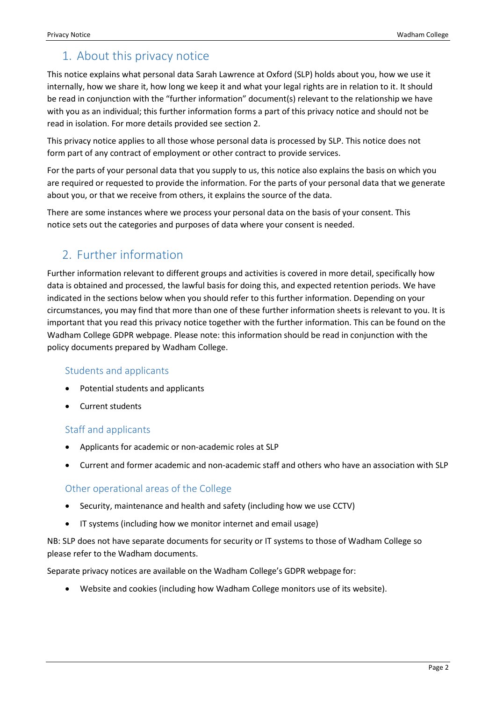# <span id="page-1-0"></span>1. About this privacy notice

This notice explains what personal data Sarah Lawrence at Oxford (SLP) holds about you, how we use it internally, how we share it, how long we keep it and what your legal rights are in relation to it. It should be read in conjunction with the "further information" document(s) relevant to the relationship we have with you as an individual; this further information forms a part of this privacy notice and should not be read in isolation. For more details provided see section 2.

This privacy notice applies to all those whose personal data is processed by SLP. This notice does not form part of any contract of employment or other contract to provide services.

For the parts of your personal data that you supply to us, this notice also explains the basis on which you are required or requested to provide the information. For the parts of your personal data that we generate about you, or that we receive from others, it explains the source of the data.

There are some instances where we process your personal data on the basis of your consent. This notice sets out the categories and purposes of data where your consent is needed.

# <span id="page-1-1"></span>2. Further information

Further information relevant to different groups and activities is covered in more detail, specifically how data is obtained and processed, the lawful basis for doing this, and expected retention periods. We have indicated in the sections below when you should refer to this further information. Depending on your circumstances, you may find that more than one of these further information sheets is relevant to you. It is important that you read this privacy notice together with the further information. This can be found on the Wadham College GDPR webpage. Please note: this information should be read in conjunction with the policy documents prepared by Wadham College.

#### Students and applicants

- Potential students and applicants
- Current students

#### Staff and applicants

- Applicants for academic or non-academic roles at SLP
- Current and former academic and non-academic staff and others who have an association with SLP

#### Other operational areas of the College

- Security, maintenance and health and safety (including how we use CCTV)
- IT systems (including how we monitor internet and email usage)

NB: SLP does not have separate documents for security or IT systems to those of Wadham College so please refer to the Wadham documents.

Separate privacy notices are available on the Wadham College's GDPR webpage for:

Website and cookies (including how Wadham College monitors use of its website).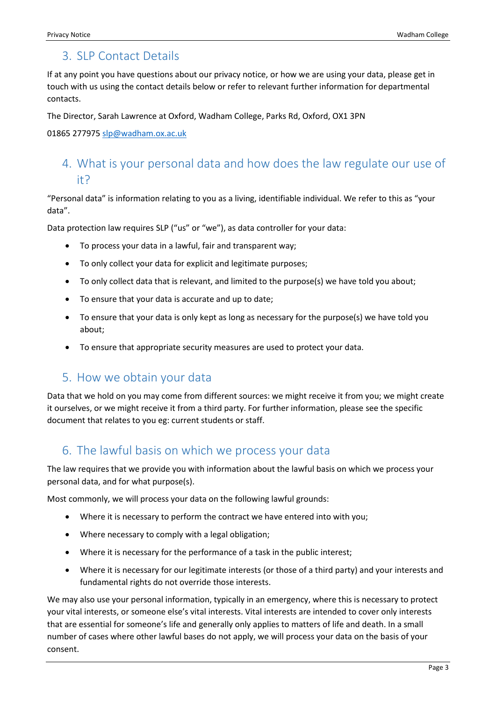## <span id="page-2-0"></span>3. SLP Contact Details

If at any point you have questions about our privacy notice, or how we are using your data, please get in touch with us using the contact details below or refer to relevant further information for departmental contacts.

The Director, Sarah Lawrence at Oxford, Wadham College, Parks Rd, Oxford, OX1 3PN

<span id="page-2-1"></span>01865 277975 [slp@wadham.ox.ac.uk](mailto:slp@wadham.ox.ac.uk)

# 4. What is your personal data and how does the law regulate our use of it?

"Personal data" is information relating to you as a living, identifiable individual. We refer to this as "your data".

Data protection law requires SLP ("us" or "we"), as data controller for your data:

- To process your data in a lawful, fair and transparent way;
- To only collect your data for explicit and legitimate purposes;
- To only collect data that is relevant, and limited to the purpose(s) we have told you about;
- To ensure that your data is accurate and up to date;
- To ensure that your data is only kept as long as necessary for the purpose(s) we have told you about;
- <span id="page-2-2"></span>To ensure that appropriate security measures are used to protect your data.

#### 5. How we obtain your data

Data that we hold on you may come from different sources: we might receive it from you; we might create it ourselves, or we might receive it from a third party. For further information, please see the specific document that relates to you eg: current students or staff.

#### <span id="page-2-3"></span>6. The lawful basis on which we process your data

The law requires that we provide you with information about the lawful basis on which we process your personal data, and for what purpose(s).

Most commonly, we will process your data on the following lawful grounds:

- Where it is necessary to perform the contract we have entered into with you;
- Where necessary to comply with a legal obligation;
- Where it is necessary for the performance of a task in the public interest;
- Where it is necessary for our legitimate interests (or those of a third party) and your interests and fundamental rights do not override those interests.

We may also use your personal information, typically in an emergency, where this is necessary to protect your vital interests, or someone else's vital interests. Vital interests are intended to cover only interests that are essential for someone's life and generally only applies to matters of life and death. In a small number of cases where other lawful bases do not apply, we will process your data on the basis of your consent.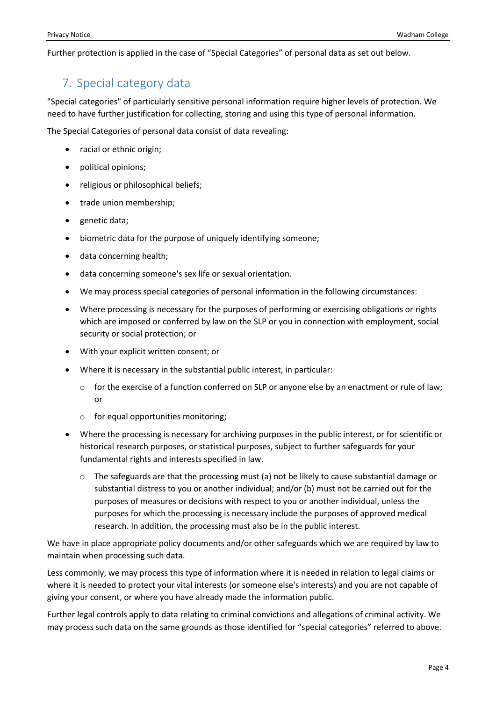<span id="page-3-0"></span>Further protection is applied in the case of "Special Categories" of personal data as set out below.

# 7. Special category data

"Special categories" of particularly sensitive personal information require higher levels of protection. We need to have further justification for collecting, storing and using this type of personal information.

The Special Categories of personal data consist of data revealing:

- racial or ethnic origin;
- political opinions;
- religious or philosophical beliefs;
- trade union membership;
- genetic data;
- biometric data for the purpose of uniquely identifying someone;
- data concerning health;
- data concerning someone's sex life or sexual orientation.
- We may process special categories of personal information in the following circumstances:
- Where processing is necessary for the purposes of performing or exercising obligations or rights which are imposed or conferred by law on the SLP or you in connection with employment, social security or social protection; or
- With your explicit written consent; or
- Where it is necessary in the substantial public interest, in particular:
	- o for the exercise of a function conferred on SLP or anyone else by an enactment or rule of law; or
	- o for equal opportunities monitoring;
- Where the processing is necessary for archiving purposes in the public interest, or for scientific or historical research purposes, or statistical purposes, subject to further safeguards for your fundamental rights and interests specified in law.
	- $\circ$  The safeguards are that the processing must (a) not be likely to cause substantial damage or substantial distress to you or another individual; and/or (b) must not be carried out for the purposes of measures or decisions with respect to you or another individual, unless the purposes for which the processing is necessary include the purposes of approved medical research. In addition, the processing must also be in the public interest.

We have in place appropriate policy documents and/or other safeguards which we are required by law to maintain when processing such data.

Less commonly, we may process this type of information where it is needed in relation to legal claims or where it is needed to protect your vital interests (or someone else's interests) and you are not capable of giving your consent, or where you have already made the information public.

Further legal controls apply to data relating to criminal convictions and allegations of criminal activity. We may process such data on the same grounds as those identified for "special categories" referred to above.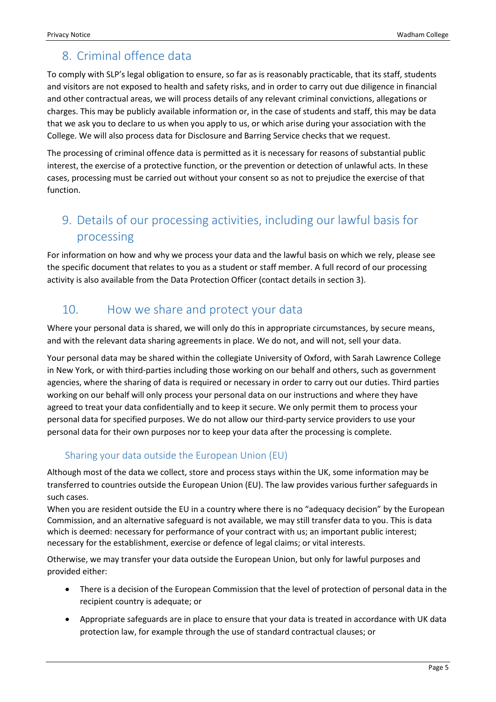# <span id="page-4-0"></span>8. Criminal offence data

To comply with SLP's legal obligation to ensure, so far as is reasonably practicable, that its staff, students and visitors are not exposed to health and safety risks, and in order to carry out due diligence in financial and other contractual areas, we will process details of any relevant criminal convictions, allegations or charges. This may be publicly available information or, in the case of students and staff, this may be data that we ask you to declare to us when you apply to us, or which arise during your association with the College. We will also process data for Disclosure and Barring Service checks that we request.

The processing of criminal offence data is permitted as it is necessary for reasons of substantial public interest, the exercise of a protective function, or the prevention or detection of unlawful acts. In these cases, processing must be carried out without your consent so as not to prejudice the exercise of that function.

# <span id="page-4-1"></span>9. Details of our processing activities, including our lawful basis for processing

For information on how and why we process your data and the lawful basis on which we rely, please see the specific document that relates to you as a student or staff member. A full record of our processing activity is also available from the Data Protection Officer (contact details in section 3).

# <span id="page-4-2"></span>10. How we share and protect your data

Where your personal data is shared, we will only do this in appropriate circumstances, by secure means, and with the relevant data sharing agreements in place. We do not, and will not, sell your data.

Your personal data may be shared within the collegiate University of Oxford, with Sarah Lawrence College in New York, or with third-parties including those working on our behalf and others, such as government agencies, where the sharing of data is required or necessary in order to carry out our duties. Third parties working on our behalf will only process your personal data on our instructions and where they have agreed to treat your data confidentially and to keep it secure. We only permit them to process your personal data for specified purposes. We do not allow our third-party service providers to use your personal data for their own purposes nor to keep your data after the processing is complete.

#### Sharing your data outside the European Union (EU)

Although most of the data we collect, store and process stays within the UK, some information may be transferred to countries outside the European Union (EU). The law provides various further safeguards in such cases.

When you are resident outside the EU in a country where there is no "adequacy decision" by the European Commission, and an alternative safeguard is not available, we may still transfer data to you. This is data which is deemed: necessary for performance of your contract with us; an important public interest; necessary for the establishment, exercise or defence of legal claims; or vital interests.

Otherwise, we may transfer your data outside the European Union, but only for lawful purposes and provided either:

- There is a decision of the European Commission that the level of protection of personal data in the recipient country is adequate; or
- Appropriate safeguards are in place to ensure that your data is treated in accordance with UK data protection law, for example through the use of standard contractual clauses; or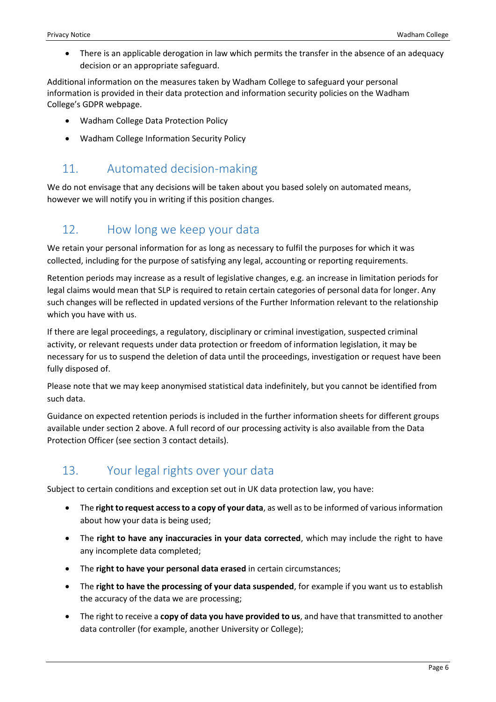There is an applicable derogation in law which permits the transfer in the absence of an adequacy decision or an appropriate safeguard.

Additional information on the measures taken by Wadham College to safeguard your personal information is provided in their data protection and information security policies on the Wadham College's GDPR webpage.

- Wadham College Data Protection Policy
- <span id="page-5-0"></span>Wadham College Information Security Policy

## 11. Automated decision-making

We do not envisage that any decisions will be taken about you based solely on automated means, however we will notify you in writing if this position changes.

# <span id="page-5-1"></span>12. How long we keep your data

We retain your personal information for as long as necessary to fulfil the purposes for which it was collected, including for the purpose of satisfying any legal, accounting or reporting requirements.

Retention periods may increase as a result of legislative changes, e.g. an increase in limitation periods for legal claims would mean that SLP is required to retain certain categories of personal data for longer. Any such changes will be reflected in updated versions of the Further Information relevant to the relationship which you have with us.

If there are legal proceedings, a regulatory, disciplinary or criminal investigation, suspected criminal activity, or relevant requests under data protection or freedom of information legislation, it may be necessary for us to suspend the deletion of data until the proceedings, investigation or request have been fully disposed of.

Please note that we may keep anonymised statistical data indefinitely, but you cannot be identified from such data.

Guidance on expected retention periods is included in the further information sheets for different groups available under section 2 above. A full record of our processing activity is also available from the Data Protection Officer (see section 3 contact details).

# <span id="page-5-2"></span>13. Your legal rights over your data

Subject to certain conditions and exception set out in UK data protection law, you have:

- The **right to request access to a copy of your data**, as well as to be informed of various information about how your data is being used;
- The **right to have any inaccuracies in your data corrected**, which may include the right to have any incomplete data completed;
- The **right to have your personal data erased** in certain circumstances;
- The **right to have the processing of your data suspended**, for example if you want us to establish the accuracy of the data we are processing;
- The right to receive a **copy of data you have provided to us**, and have that transmitted to another data controller (for example, another University or College);